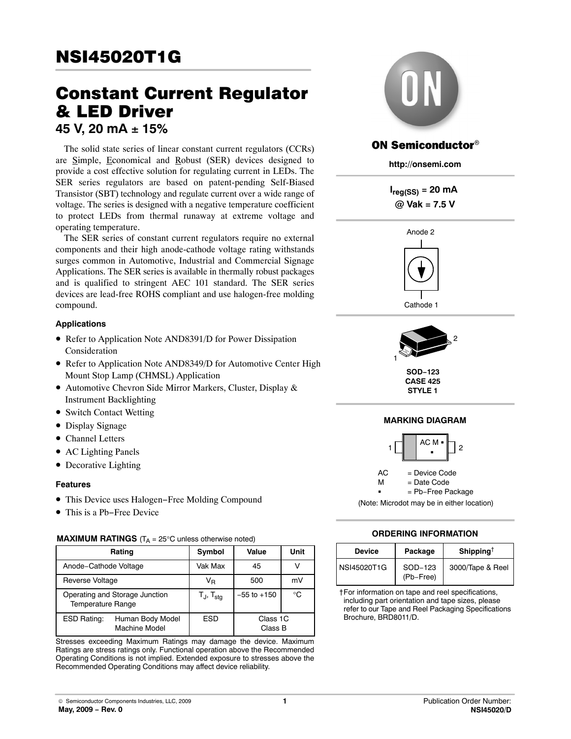# **Constant Current Regulator<br>& LED Driver** 45 V, 20 mA ± 15%

The solid state series of linear constant current regulators (CCRs) are Simple, Economical and Robust (SER) devices designed to provide a cost effective solution for regulating current in LEDs. The SER series regulators are based on patent-pending Self-Biased Transistor (SBT) technology and regulate current over a wide range of voltage. The series is designed with a negative temperature coefficient to protect LEDs from thermal runaway at extreme voltage and operating temperature.

The SER series of constant current regulators require no external components and their high anode-cathode voltage rating withstands surges common in Automotive, Industrial and Commercial Signage Applications. The SER series is available in thermally robust packages and is qualified to stringent AEC 101 standard. The SER series devices are lead-free ROHS compliant and use halogen-free molding compound.

#### **Applications**

- Refer to Application Note AND8391/D for Power Dissipation Consideration
- Refer to Application Note AND8349/D for Automotive Center High Mount Stop Lamp (CHMSL) Application
- Automotive Chevron Side Mirror Markers, Cluster, Display & Instrument Backlighting
- Switch Contact Wetting
- Display Signage
- Channel Letters
- AC Lighting Panels
- Decorative Lighting

#### **Features**

- This Device uses Halogen−Free Molding Compound
- This is a Pb−Free Device

#### **MAXIMUM RATINGS**  $(T_A = 25^\circ \text{C}$  unless otherwise noted)

| Rating                                                         | Symbol                      | Value               | Unit |
|----------------------------------------------------------------|-----------------------------|---------------------|------|
| Anode-Cathode Voltage                                          | Vak Max                     | 45                  |      |
| Reverse Voltage                                                | V <sub>R</sub>              | 500                 | mV   |
| Operating and Storage Junction<br><b>Temperature Range</b>     | $T_{\sf J}$ , $T_{\sf stg}$ | $-55$ to $+150$     | °C   |
| <b>ESD Rating:</b><br>Human Body Model<br><b>Machine Model</b> | <b>ESD</b>                  | Class 1C<br>Class B |      |

Stresses exceeding Maximum Ratings may damage the device. Maximum Ratings are stress ratings only. Functional operation above the Recommended Operating Conditions is not implied. Extended exposure to stresses above the Recommended Operating Conditions may affect device reliability.



# **ON Semiconductor®**

**http://onsemi.com**

**Ireg(SS) = 20 mA @ Vak = 7.5 V**



Cathode 1



**SOD−123 CASE 425 STYLE 1**

## **MARKING DIAGRAM**



(Note: Microdot may be in either location)

## **ORDERING INFORMATION**

| <b>Device</b> | Package              | Shipping <sup>†</sup> |
|---------------|----------------------|-----------------------|
| NSI45020T1G   | SOD-123<br>(Pb-Free) | 3000/Tape & Reel      |

†For information on tape and reel specifications, including part orientation and tape sizes, please refer to our Tape and Reel Packaging Specifications Brochure, BRD8011/D.

© Semiconductor Components Industries, LLC, 2009 **May, 2009 − Rev. 0**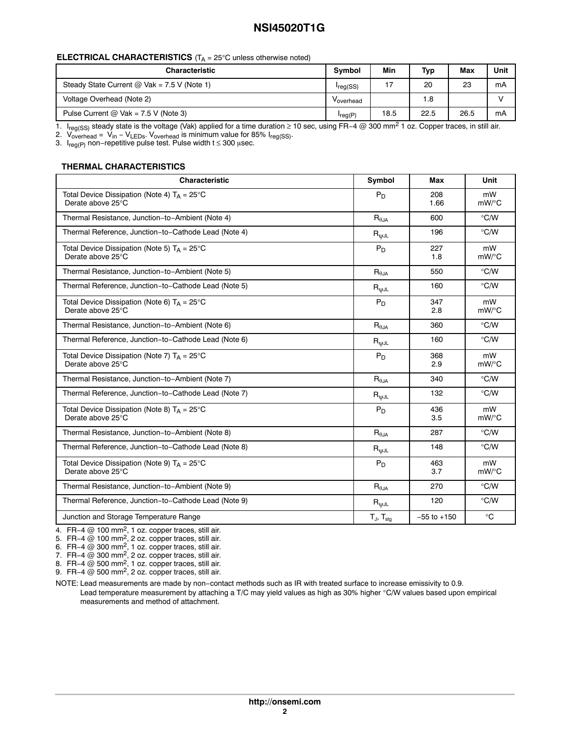# **NSI45020T1G**

#### **ELECTRICAL CHARACTERISTICS** (T<sub>A</sub> = 25°C unless otherwise noted)

| <b>Characteristic</b>                         | <b>Symbol</b>  | Min  | <b>Typ</b> | Max  | Unit |
|-----------------------------------------------|----------------|------|------------|------|------|
| Steady State Current $@$ Vak = 7.5 V (Note 1) | $I_{reg}$ (SS) | 17   | 20         | 23   | mA   |
| Voltage Overhead (Note 2)                     | Voverhead      |      | 1.8        |      |      |
| Pulse Current $@$ Vak = 7.5 V (Note 3)        | $I_{reg(P)}$   | 18.5 | 22.5       | 26.5 | mA   |

1. I<sub>reg(SS)</sub> steady state is the voltage (Vak) applied for a time duration ≥ 10 sec, using FR−4 @ 300 mm<sup>2</sup> 1 oz. Copper traces, in still air.

2. V<sub>overhead</sub> = V<sub>in</sub> − V<sub>LEDs</sub>. V<sub>overhead</sub> is minimum value for 85% I<sub>reg(SS)</sub>.

3.  $\sf I_{reg(P)}$  non−repetitive pulse test. Pulse width t ≤ 300  $\mu$ sec.

## **THERMAL CHARACTERISTICS**

| <b>Characteristic</b>                                                      | Symbol                            | Max             | Unit          |
|----------------------------------------------------------------------------|-----------------------------------|-----------------|---------------|
| Total Device Dissipation (Note 4) $T_A = 25^{\circ}C$<br>Derate above 25°C | $P_D$                             | 208<br>1.66     | mW<br>mW/°C   |
| Thermal Resistance, Junction-to-Ambient (Note 4)                           | $R_{\theta$ JA                    | 600             | $\degree$ C/W |
| Thermal Reference, Junction-to-Cathode Lead (Note 4)                       | $R_{\text{WJL}}$                  | 196             | $\degree$ C/W |
| Total Device Dissipation (Note 5) $T_A = 25^{\circ}C$<br>Derate above 25°C | $P_D$                             | 227<br>1.8      | mW<br>mW/°C   |
| Thermal Resistance, Junction-to-Ambient (Note 5)                           | $R_{\theta JA}$                   | 550             | $\degree$ C/W |
| Thermal Reference, Junction-to-Cathode Lead (Note 5)                       | $R_{\text{WJL}}$                  | 160             | $\degree$ C/W |
| Total Device Dissipation (Note 6) $T_A = 25^{\circ}C$<br>Derate above 25°C | $P_D$                             | 347<br>2.8      | mW<br>mW/°C   |
| Thermal Resistance, Junction-to-Ambient (Note 6)                           | $R_{\theta JA}$                   | 360             | $\degree$ C/W |
| Thermal Reference, Junction-to-Cathode Lead (Note 6)                       | $\mathsf{R}_{\mathsf{WJL}}$       | 160             | $\degree$ C/W |
| Total Device Dissipation (Note 7) $T_A = 25^{\circ}C$<br>Derate above 25°C | $P_D$                             | 368<br>2.9      | mW<br>mW/°C   |
| Thermal Resistance, Junction-to-Ambient (Note 7)                           | $\mathsf{R}_{\theta \mathsf{JA}}$ | 340             | $\degree$ C/W |
| Thermal Reference, Junction-to-Cathode Lead (Note 7)                       | $R_{\text{WJL}}$                  | 132             | $\degree$ C/W |
| Total Device Dissipation (Note 8) $T_A = 25^{\circ}C$<br>Derate above 25°C | $P_D$                             | 436<br>3.5      | mW<br>mW/°C   |
| Thermal Resistance, Junction-to-Ambient (Note 8)                           | $R_{\theta$ JA                    | 287             | $\degree$ C/W |
| Thermal Reference, Junction-to-Cathode Lead (Note 8)                       | $R_{\psi JL}$                     | 148             | $\degree$ C/W |
| Total Device Dissipation (Note 9) $T_A = 25^{\circ}C$<br>Derate above 25°C | $P_D$                             | 463<br>3.7      | mW<br>mW/°C   |
| Thermal Resistance, Junction-to-Ambient (Note 9)                           | $\mathsf{R}_{\theta \mathsf{JA}}$ | 270             | $\degree$ C/W |
| Thermal Reference, Junction-to-Cathode Lead (Note 9)                       | $\mathsf{R}_{\mathsf{WJL}}$       | 120             | $\degree$ C/W |
| Junction and Storage Temperature Range                                     | $T_J$ , $T_{\text{stg}}$          | $-55$ to $+150$ | $^{\circ}C$   |

4. FR−4 @ 100 mm2, 1 oz. copper traces, still air.

5. FR−4 @ 100 mm<sup>2</sup>, 2 oz. copper traces, still air.

6. FR-4  $@$  300 mm<sup>2</sup>, 1 oz. copper traces, still air.

7. FR−4 @ 300 mm<sup>2</sup>, 2 oz. copper traces, still air.

8. FR−4 @ 500 mm<sup>2</sup>, 1 oz. copper traces, still air.

9. FR−4 @ 500 mm<sup>2</sup>, 2 oz. copper traces, still air.

NOTE: Lead measurements are made by non−contact methods such as IR with treated surface to increase emissivity to 0.9. Lead temperature measurement by attaching a T/C may yield values as high as 30% higher °C/W values based upon empirical measurements and method of attachment.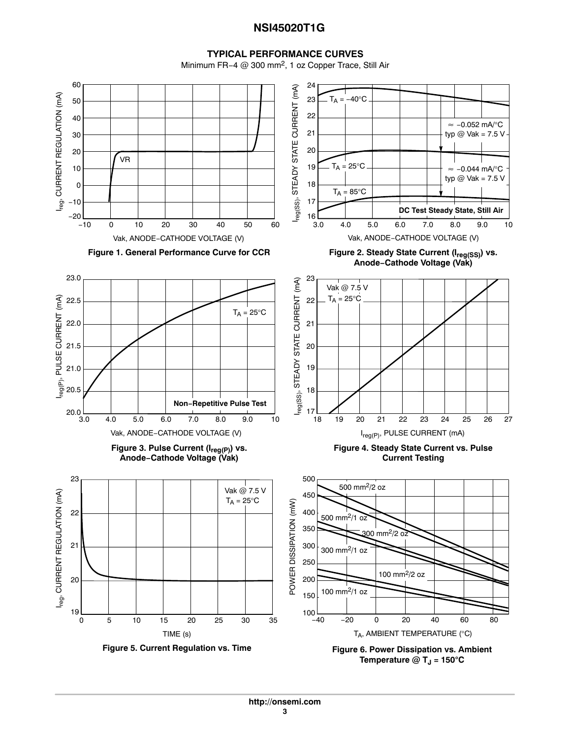# **NSI45020T1G**

#### **TYPICAL PERFORMANCE CURVES**

Minimum FR−4 @ 300 mm2, 1 oz Copper Trace, Still Air

<span id="page-2-0"></span>

**Temperature**  $@$  **T<sub>J</sub> = 150** $^{\circ}$ **C**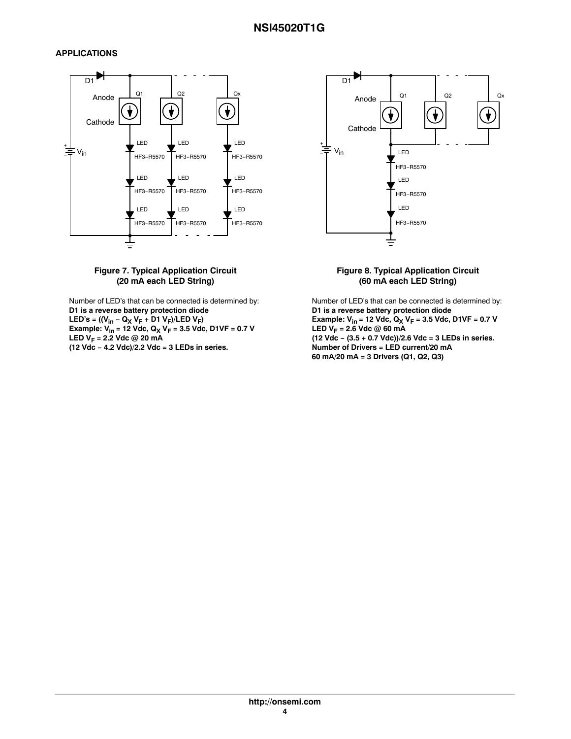## <span id="page-3-0"></span>**APPLICATIONS**

![](_page_3_Figure_2.jpeg)

#### **Figure 7. Typical Application Circuit (20 mA each LED String)**

Number of LED's that can be connected is determined by: **D1 is a reverse battery protection diode LED's = ((Vin − QX VF + D1 VF)/LED VF) Example: Vin = 12 Vdc, QX VF = 3.5 Vdc, D1VF = 0.7 V LED**  $V_F = 2.2$  **Vdc @ 20 mA (12 Vdc − 4.2 Vdc)/2.2 Vdc = 3 LEDs in series.**

![](_page_3_Figure_5.jpeg)

#### **Figure 8. Typical Application Circuit (60 mA each LED String)**

Number of LED's that can be connected is determined by: **D1 is a reverse battery protection diode Example:**  $V_{in}$  **= 12 Vdc,**  $Q_X V_F$  **= 3.5 Vdc, D1VF = 0.7 V LED**  $V_F = 2.6$  **Vdc @ 60 mA (12 Vdc − (3.5 + 0.7 Vdc))/2.6 Vdc = 3 LEDs in series. Number of Drivers = LED current/20 mA 60 mA/20 mA = 3 Drivers (Q1, Q2, Q3)**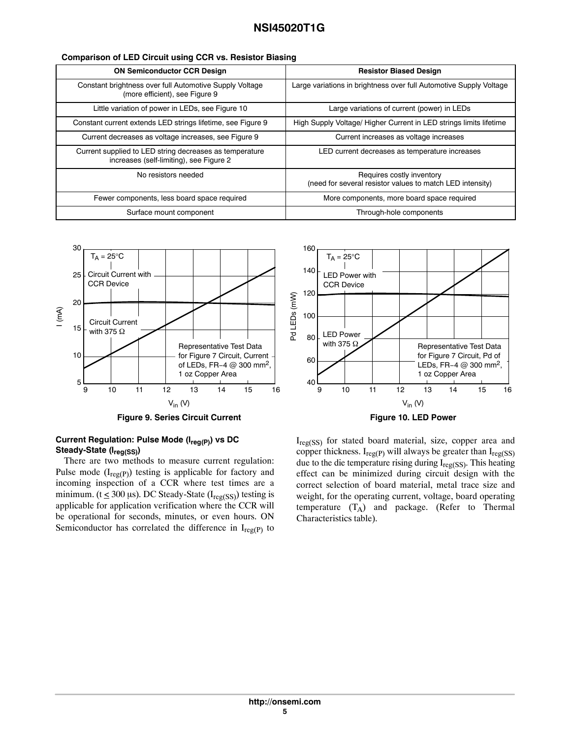| <b>ON Semiconductor CCR Design</b>                                                                 | <b>Resistor Biased Design</b>                                                          |  |  |
|----------------------------------------------------------------------------------------------------|----------------------------------------------------------------------------------------|--|--|
| Constant brightness over full Automotive Supply Voltage<br>(more efficient), see Figure 9          | Large variations in brightness over full Automotive Supply Voltage                     |  |  |
| Little variation of power in LEDs, see Figure 10                                                   | Large variations of current (power) in LEDs                                            |  |  |
| Constant current extends LED strings lifetime, see Figure 9                                        | High Supply Voltage/ Higher Current in LED strings limits lifetime                     |  |  |
| Current decreases as voltage increases, see Figure 9                                               | Current increases as voltage increases                                                 |  |  |
| Current supplied to LED string decreases as temperature<br>increases (self-limiting), see Figure 2 | LED current decreases as temperature increases                                         |  |  |
| No resistors needed                                                                                | Requires costly inventory<br>(need for several resistor values to match LED intensity) |  |  |
| Fewer components, less board space required                                                        | More components, more board space required                                             |  |  |
| Surface mount component                                                                            | Through-hole components                                                                |  |  |

![](_page_4_Figure_2.jpeg)

![](_page_4_Figure_3.jpeg)

#### **Current Regulation: Pulse Mode (Ireg(P)) vs DC Steady-State (Ireg(SS))**

There are two methods to measure current regulation: Pulse mode  $(I_{reg(P)})$  testing is applicable for factory and incoming inspection of a CCR where test times are a minimum. ( $t \leq 300 \,\mu s$ ). DC Steady-State ( $I_{reg(SS)}$ ) testing is applicable for application verification where the CCR will be operational for seconds, minutes, or even hours. ON Semiconductor has correlated the difference in  $I_{reg(P)}$  to

 $I_{reg(SS)}$  for stated board material, size, copper area and copper thickness.  $I_{reg(P)}$  will always be greater than  $I_{reg(SS)}$ due to the die temperature rising during  $I_{reg(SS)}$ . This heating effect can be minimized during circuit design with the correct selection of board material, metal trace size and weight, for the operating current, voltage, board operating temperature  $(T_A)$  and package. (Refer to Thermal Characteristics table).